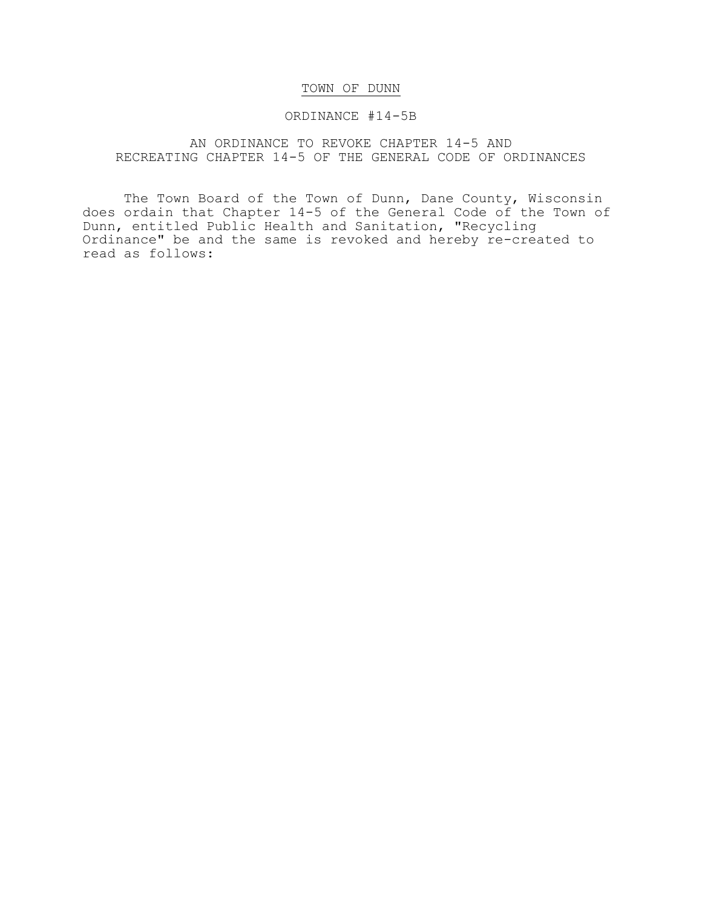# TOWN OF DUNN

### ORDINANCE #14-5B

# AN ORDINANCE TO REVOKE CHAPTER 14-5 AND RECREATING CHAPTER 14-5 OF THE GENERAL CODE OF ORDINANCES

The Town Board of the Town of Dunn, Dane County, Wisconsin does ordain that Chapter 14-5 of the General Code of the Town of Dunn, entitled Public Health and Sanitation, "Recycling Ordinance" be and the same is revoked and hereby re-created to read as follows: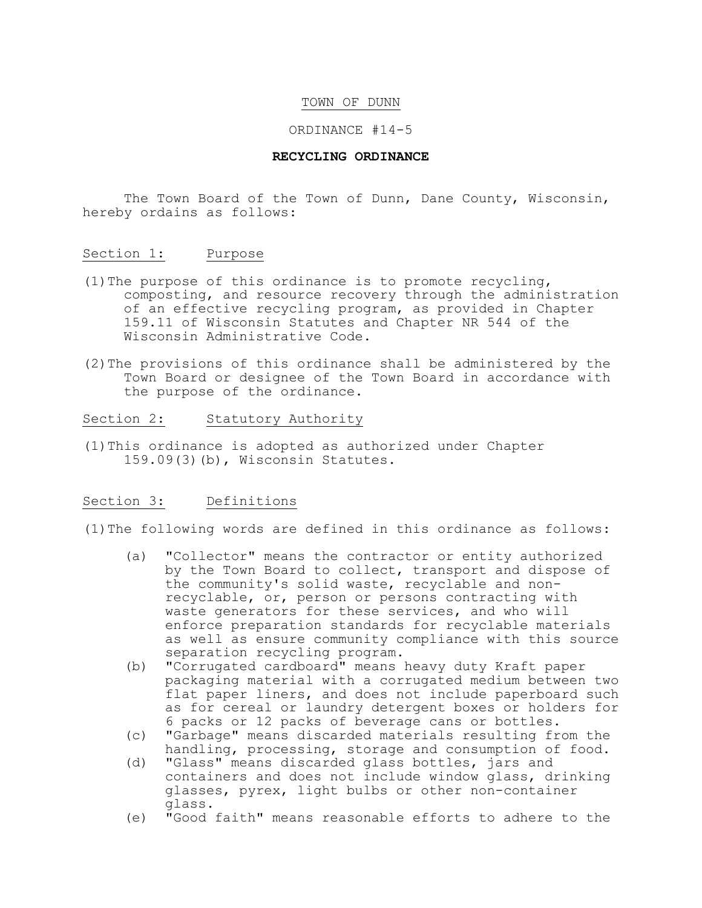### TOWN OF DUNN

#### ORDINANCE #14-5

#### **RECYCLING ORDINANCE**

The Town Board of the Town of Dunn, Dane County, Wisconsin, hereby ordains as follows:

#### Section 1: Purpose

- (1)The purpose of this ordinance is to promote recycling, composting, and resource recovery through the administration of an effective recycling program, as provided in Chapter 159.11 of Wisconsin Statutes and Chapter NR 544 of the Wisconsin Administrative Code.
- (2)The provisions of this ordinance shall be administered by the Town Board or designee of the Town Board in accordance with the purpose of the ordinance.

## Section 2: Statutory Authority

(1)This ordinance is adopted as authorized under Chapter 159.09(3)(b), Wisconsin Statutes.

## Section 3: Definitions

(1)The following words are defined in this ordinance as follows:

- (a) "Collector" means the contractor or entity authorized by the Town Board to collect, transport and dispose of the community's solid waste, recyclable and nonrecyclable, or, person or persons contracting with waste generators for these services, and who will enforce preparation standards for recyclable materials as well as ensure community compliance with this source separation recycling program.
- (b) "Corrugated cardboard" means heavy duty Kraft paper packaging material with a corrugated medium between two flat paper liners, and does not include paperboard such as for cereal or laundry detergent boxes or holders for 6 packs or 12 packs of beverage cans or bottles.
- (c) "Garbage" means discarded materials resulting from the handling, processing, storage and consumption of food.
- (d) "Glass" means discarded glass bottles, jars and containers and does not include window glass, drinking glasses, pyrex, light bulbs or other non-container glass.
- (e) "Good faith" means reasonable efforts to adhere to the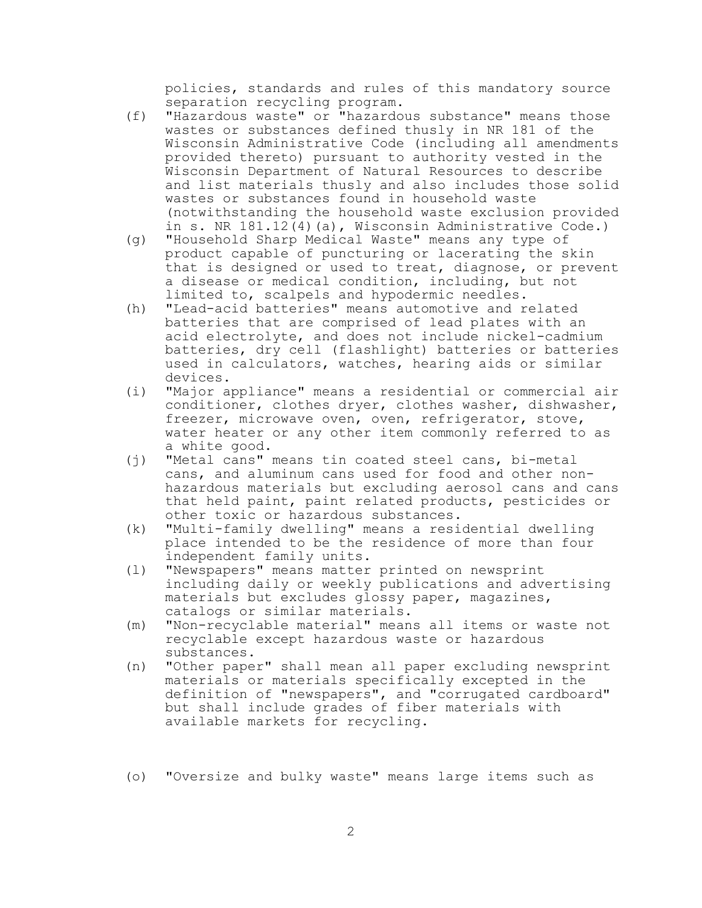policies, standards and rules of this mandatory source separation recycling program.

- (f) "Hazardous waste" or "hazardous substance" means those wastes or substances defined thusly in NR 181 of the Wisconsin Administrative Code (including all amendments provided thereto) pursuant to authority vested in the Wisconsin Department of Natural Resources to describe and list materials thusly and also includes those solid wastes or substances found in household waste (notwithstanding the household waste exclusion provided in s. NR 181.12(4)(a), Wisconsin Administrative Code.)
- (g) "Household Sharp Medical Waste" means any type of product capable of puncturing or lacerating the skin that is designed or used to treat, diagnose, or prevent a disease or medical condition, including, but not limited to, scalpels and hypodermic needles.
- (h) "Lead-acid batteries" means automotive and related batteries that are comprised of lead plates with an acid electrolyte, and does not include nickel-cadmium batteries, dry cell (flashlight) batteries or batteries used in calculators, watches, hearing aids or similar devices.
- (i) "Major appliance" means a residential or commercial air conditioner, clothes dryer, clothes washer, dishwasher, freezer, microwave oven, oven, refrigerator, stove, water heater or any other item commonly referred to as a white good.
- (j) "Metal cans" means tin coated steel cans, bi-metal cans, and aluminum cans used for food and other nonhazardous materials but excluding aerosol cans and cans that held paint, paint related products, pesticides or other toxic or hazardous substances.
- (k) "Multi-family dwelling" means a residential dwelling place intended to be the residence of more than four independent family units.
- (l) "Newspapers" means matter printed on newsprint including daily or weekly publications and advertising materials but excludes glossy paper, magazines, catalogs or similar materials.
- (m) "Non-recyclable material" means all items or waste not recyclable except hazardous waste or hazardous substances.
- (n) "Other paper" shall mean all paper excluding newsprint materials or materials specifically excepted in the definition of "newspapers", and "corrugated cardboard" but shall include grades of fiber materials with available markets for recycling.
- (o) "Oversize and bulky waste" means large items such as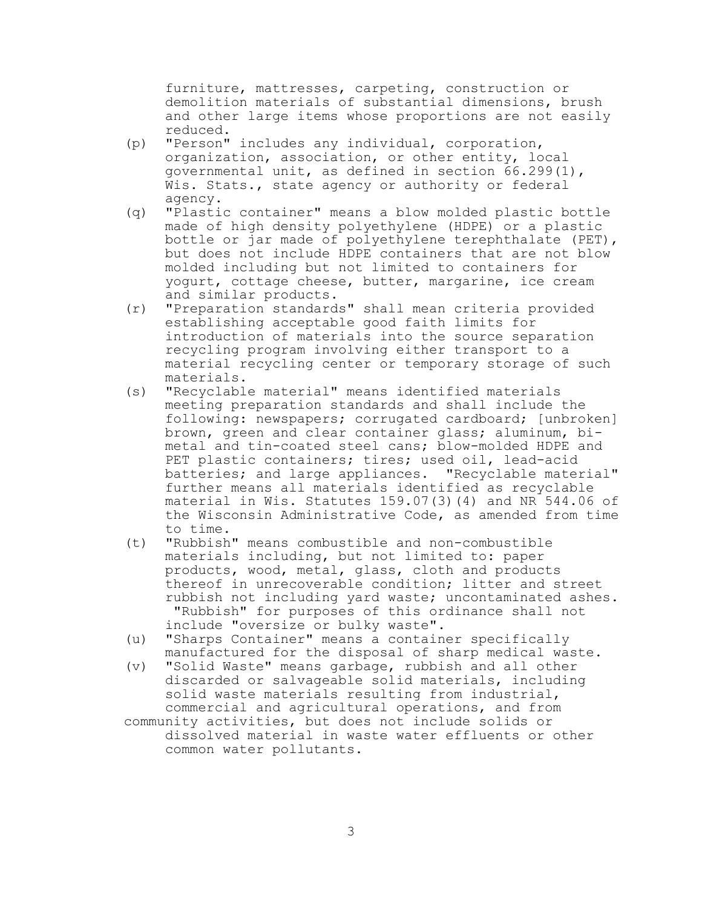furniture, mattresses, carpeting, construction or demolition materials of substantial dimensions, brush and other large items whose proportions are not easily reduced.

- (p) "Person" includes any individual, corporation, organization, association, or other entity, local governmental unit, as defined in section 66.299(1), Wis. Stats., state agency or authority or federal agency.
- (q) "Plastic container" means a blow molded plastic bottle made of high density polyethylene (HDPE) or a plastic bottle or jar made of polyethylene terephthalate (PET), but does not include HDPE containers that are not blow molded including but not limited to containers for yogurt, cottage cheese, butter, margarine, ice cream and similar products.
- (r) "Preparation standards" shall mean criteria provided establishing acceptable good faith limits for introduction of materials into the source separation recycling program involving either transport to a material recycling center or temporary storage of such materials.
- (s) "Recyclable material" means identified materials meeting preparation standards and shall include the following: newspapers; corrugated cardboard; [unbroken] brown, green and clear container glass; aluminum, bimetal and tin-coated steel cans; blow-molded HDPE and PET plastic containers; tires; used oil, lead-acid batteries; and large appliances. "Recyclable material" further means all materials identified as recyclable material in Wis. Statutes 159.07(3)(4) and NR 544.06 of the Wisconsin Administrative Code, as amended from time to time.
- (t) "Rubbish" means combustible and non-combustible materials including, but not limited to: paper products, wood, metal, glass, cloth and products thereof in unrecoverable condition; litter and street rubbish not including yard waste; uncontaminated ashes. "Rubbish" for purposes of this ordinance shall not include "oversize or bulky waste".
- (u) "Sharps Container" means a container specifically manufactured for the disposal of sharp medical waste.
- (v) "Solid Waste" means garbage, rubbish and all other discarded or salvageable solid materials, including solid waste materials resulting from industrial, commercial and agricultural operations, and from
- community activities, but does not include solids or dissolved material in waste water effluents or other common water pollutants.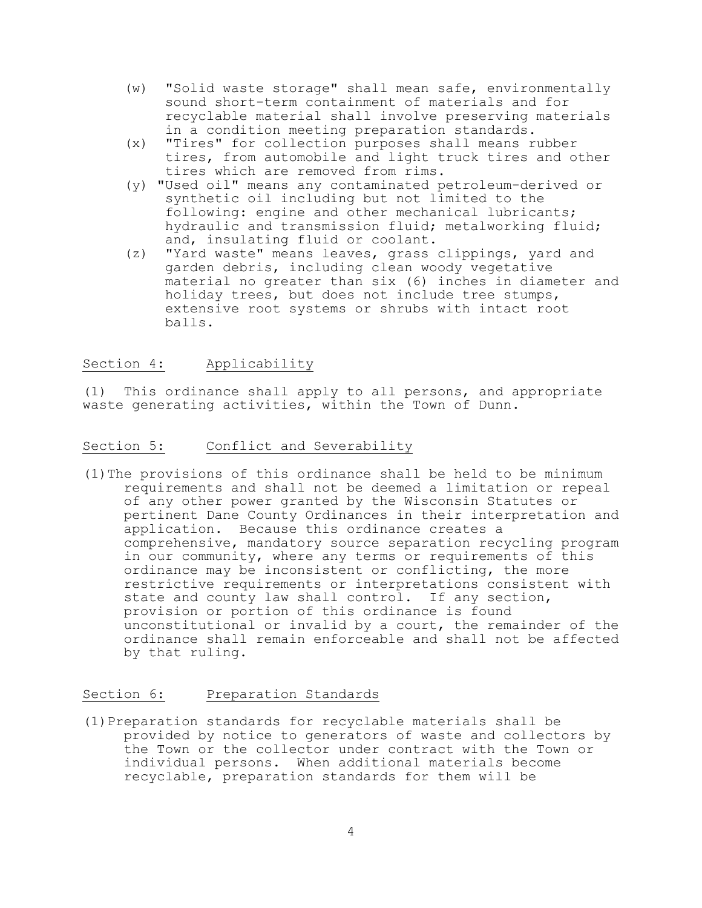- (w) "Solid waste storage" shall mean safe, environmentally sound short-term containment of materials and for recyclable material shall involve preserving materials in a condition meeting preparation standards.
- (x) "Tires" for collection purposes shall means rubber tires, from automobile and light truck tires and other tires which are removed from rims.
- (y) "Used oil" means any contaminated petroleum-derived or synthetic oil including but not limited to the following: engine and other mechanical lubricants; hydraulic and transmission fluid; metalworking fluid; and, insulating fluid or coolant.
- (z) "Yard waste" means leaves, grass clippings, yard and garden debris, including clean woody vegetative material no greater than six (6) inches in diameter and holiday trees, but does not include tree stumps, extensive root systems or shrubs with intact root balls.

# Section 4: Applicability

(1) This ordinance shall apply to all persons, and appropriate waste generating activities, within the Town of Dunn.

## Section 5: Conflict and Severability

(1)The provisions of this ordinance shall be held to be minimum requirements and shall not be deemed a limitation or repeal of any other power granted by the Wisconsin Statutes or pertinent Dane County Ordinances in their interpretation and application. Because this ordinance creates a comprehensive, mandatory source separation recycling program in our community, where any terms or requirements of this ordinance may be inconsistent or conflicting, the more restrictive requirements or interpretations consistent with state and county law shall control. If any section, provision or portion of this ordinance is found unconstitutional or invalid by a court, the remainder of the ordinance shall remain enforceable and shall not be affected by that ruling.

## Section 6: Preparation Standards

(1)Preparation standards for recyclable materials shall be provided by notice to generators of waste and collectors by the Town or the collector under contract with the Town or individual persons. When additional materials become recyclable, preparation standards for them will be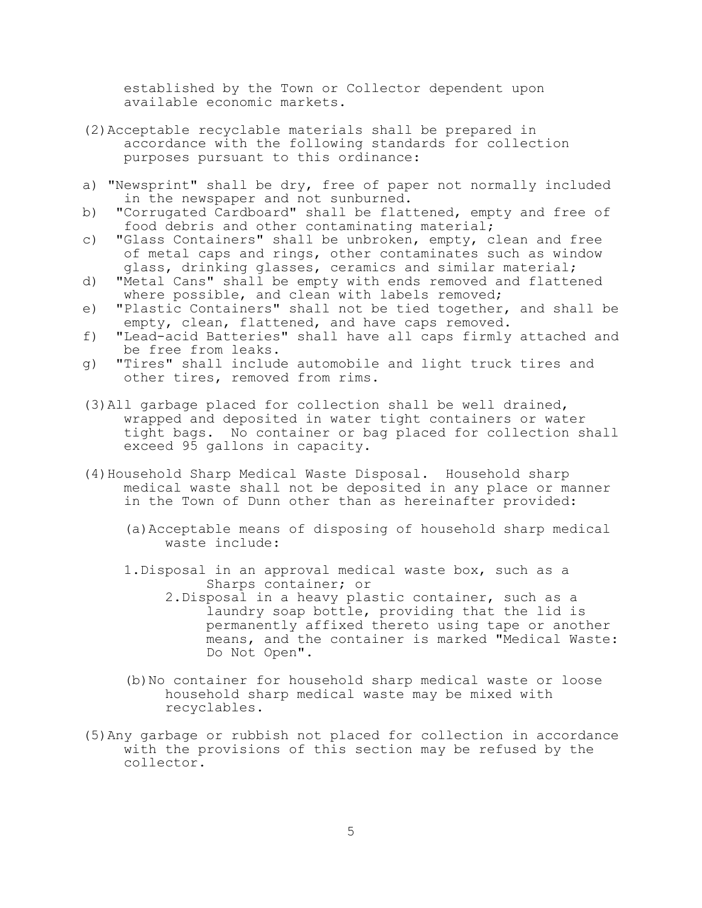established by the Town or Collector dependent upon available economic markets.

- (2)Acceptable recyclable materials shall be prepared in accordance with the following standards for collection purposes pursuant to this ordinance:
- a) "Newsprint" shall be dry, free of paper not normally included in the newspaper and not sunburned.
- b) "Corrugated Cardboard" shall be flattened, empty and free of food debris and other contaminating material;
- c) "Glass Containers" shall be unbroken, empty, clean and free of metal caps and rings, other contaminates such as window glass, drinking glasses, ceramics and similar material;
- d) "Metal Cans" shall be empty with ends removed and flattened where possible, and clean with labels removed;
- e) "Plastic Containers" shall not be tied together, and shall be empty, clean, flattened, and have caps removed.
- f) "Lead-acid Batteries" shall have all caps firmly attached and be free from leaks.
- g) "Tires" shall include automobile and light truck tires and other tires, removed from rims.
- (3)All garbage placed for collection shall be well drained, wrapped and deposited in water tight containers or water tight bags. No container or bag placed for collection shall exceed 95 gallons in capacity.
- (4)Household Sharp Medical Waste Disposal. Household sharp medical waste shall not be deposited in any place or manner in the Town of Dunn other than as hereinafter provided:
	- (a)Acceptable means of disposing of household sharp medical waste include:
	- 1.Disposal in an approval medical waste box, such as a Sharps container; or
		- 2.Disposal in a heavy plastic container, such as a laundry soap bottle, providing that the lid is permanently affixed thereto using tape or another means, and the container is marked "Medical Waste: Do Not Open".
	- (b)No container for household sharp medical waste or loose household sharp medical waste may be mixed with recyclables.
- (5)Any garbage or rubbish not placed for collection in accordance with the provisions of this section may be refused by the collector.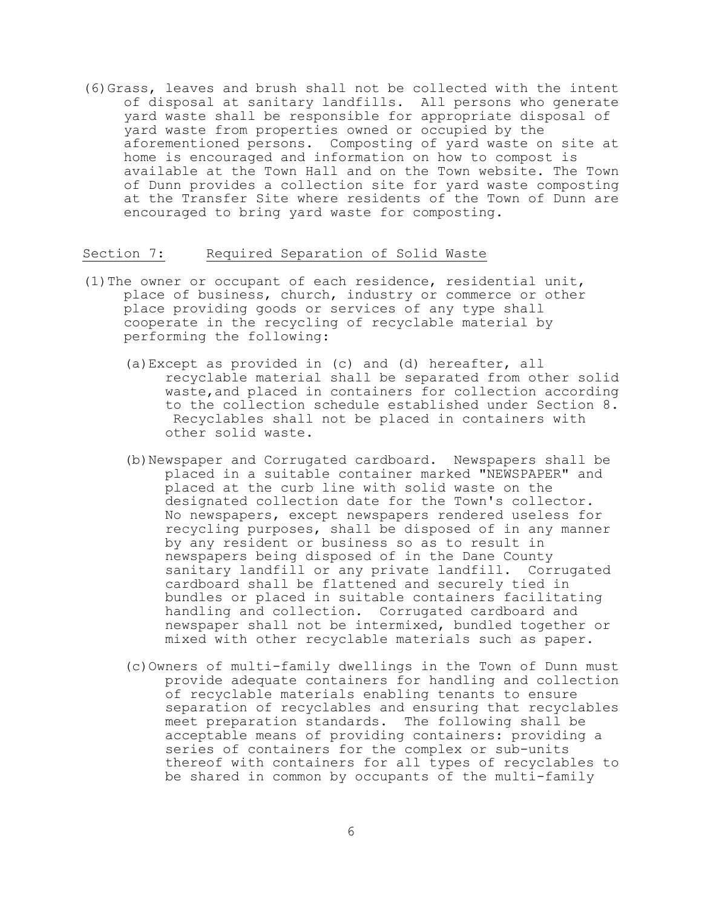(6)Grass, leaves and brush shall not be collected with the intent of disposal at sanitary landfills. All persons who generate yard waste shall be responsible for appropriate disposal of yard waste from properties owned or occupied by the aforementioned persons. Composting of yard waste on site at home is encouraged and information on how to compost is available at the Town Hall and on the Town website. The Town of Dunn provides a collection site for yard waste composting at the Transfer Site where residents of the Town of Dunn are encouraged to bring yard waste for composting.

### Section 7: Required Separation of Solid Waste

- (1)The owner or occupant of each residence, residential unit, place of business, church, industry or commerce or other place providing goods or services of any type shall cooperate in the recycling of recyclable material by performing the following:
	- (a)Except as provided in (c) and (d) hereafter, all recyclable material shall be separated from other solid waste,and placed in containers for collection according to the collection schedule established under Section 8. Recyclables shall not be placed in containers with other solid waste.
	- (b)Newspaper and Corrugated cardboard. Newspapers shall be placed in a suitable container marked "NEWSPAPER" and placed at the curb line with solid waste on the designated collection date for the Town's collector. No newspapers, except newspapers rendered useless for recycling purposes, shall be disposed of in any manner by any resident or business so as to result in newspapers being disposed of in the Dane County sanitary landfill or any private landfill. Corrugated cardboard shall be flattened and securely tied in bundles or placed in suitable containers facilitating handling and collection. Corrugated cardboard and newspaper shall not be intermixed, bundled together or mixed with other recyclable materials such as paper.
	- (c)Owners of multi-family dwellings in the Town of Dunn must provide adequate containers for handling and collection of recyclable materials enabling tenants to ensure separation of recyclables and ensuring that recyclables meet preparation standards. The following shall be acceptable means of providing containers: providing a series of containers for the complex or sub-units thereof with containers for all types of recyclables to be shared in common by occupants of the multi-family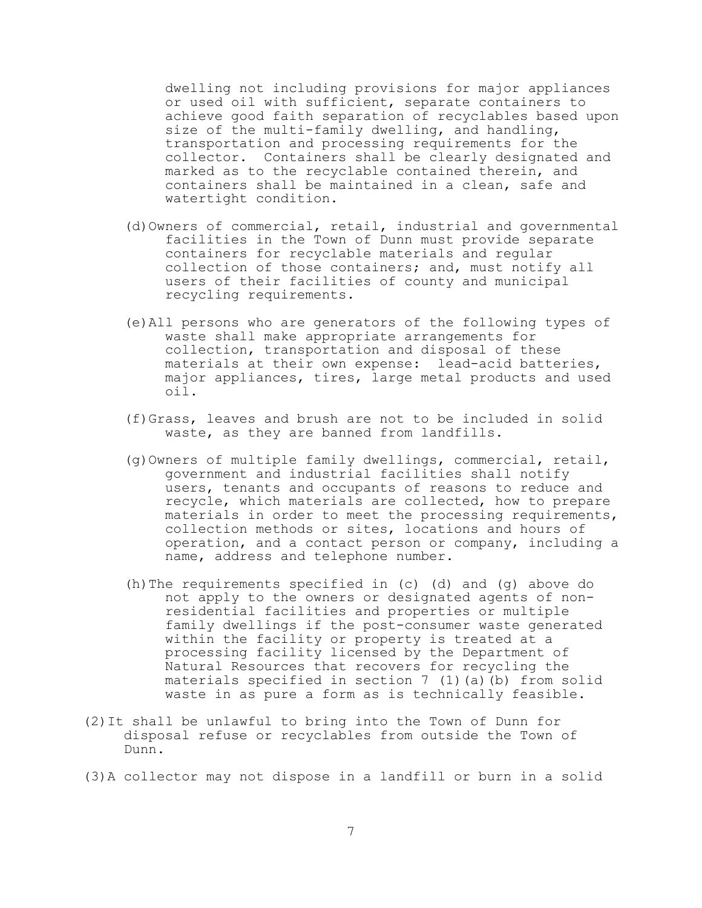dwelling not including provisions for major appliances or used oil with sufficient, separate containers to achieve good faith separation of recyclables based upon size of the multi-family dwelling, and handling, transportation and processing requirements for the collector. Containers shall be clearly designated and marked as to the recyclable contained therein, and containers shall be maintained in a clean, safe and watertight condition.

- (d)Owners of commercial, retail, industrial and governmental facilities in the Town of Dunn must provide separate containers for recyclable materials and regular collection of those containers; and, must notify all users of their facilities of county and municipal recycling requirements.
- (e)All persons who are generators of the following types of waste shall make appropriate arrangements for collection, transportation and disposal of these materials at their own expense: lead-acid batteries, major appliances, tires, large metal products and used oil.
- (f)Grass, leaves and brush are not to be included in solid waste, as they are banned from landfills.
- (g)Owners of multiple family dwellings, commercial, retail, government and industrial facilities shall notify users, tenants and occupants of reasons to reduce and recycle, which materials are collected, how to prepare materials in order to meet the processing requirements, collection methods or sites, locations and hours of operation, and a contact person or company, including a name, address and telephone number.
- (h)The requirements specified in (c) (d) and (g) above do not apply to the owners or designated agents of nonresidential facilities and properties or multiple family dwellings if the post-consumer waste generated within the facility or property is treated at a processing facility licensed by the Department of Natural Resources that recovers for recycling the materials specified in section  $7$  (1)(a)(b) from solid waste in as pure a form as is technically feasible.
- (2)It shall be unlawful to bring into the Town of Dunn for disposal refuse or recyclables from outside the Town of Dunn.
- (3)A collector may not dispose in a landfill or burn in a solid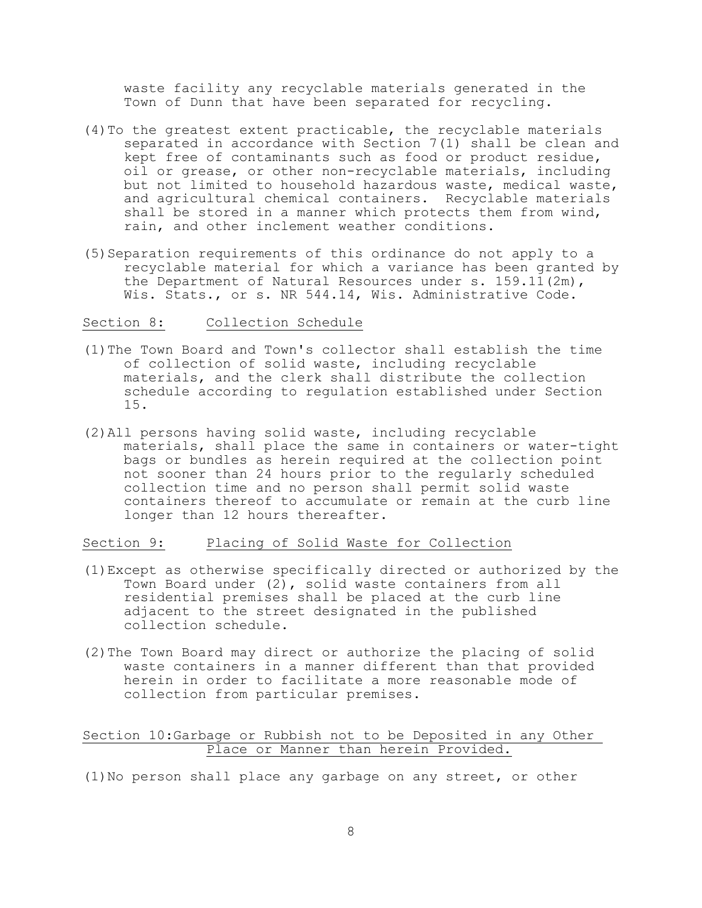waste facility any recyclable materials generated in the Town of Dunn that have been separated for recycling.

- (4)To the greatest extent practicable, the recyclable materials separated in accordance with Section 7(1) shall be clean and kept free of contaminants such as food or product residue, oil or grease, or other non-recyclable materials, including but not limited to household hazardous waste, medical waste, and agricultural chemical containers. Recyclable materials shall be stored in a manner which protects them from wind, rain, and other inclement weather conditions.
- (5)Separation requirements of this ordinance do not apply to a recyclable material for which a variance has been granted by the Department of Natural Resources under s. 159.11(2m), Wis. Stats., or s. NR 544.14, Wis. Administrative Code.

### Section 8: Collection Schedule

- (1)The Town Board and Town's collector shall establish the time of collection of solid waste, including recyclable materials, and the clerk shall distribute the collection schedule according to regulation established under Section 15.
- (2)All persons having solid waste, including recyclable materials, shall place the same in containers or water-tight bags or bundles as herein required at the collection point not sooner than 24 hours prior to the regularly scheduled collection time and no person shall permit solid waste containers thereof to accumulate or remain at the curb line longer than 12 hours thereafter.

# Section 9: Placing of Solid Waste for Collection

- (1)Except as otherwise specifically directed or authorized by the Town Board under (2), solid waste containers from all residential premises shall be placed at the curb line adjacent to the street designated in the published collection schedule.
- (2)The Town Board may direct or authorize the placing of solid waste containers in a manner different than that provided herein in order to facilitate a more reasonable mode of collection from particular premises.

### Section 10:Garbage or Rubbish not to be Deposited in any Other Place or Manner than herein Provided.

(1)No person shall place any garbage on any street, or other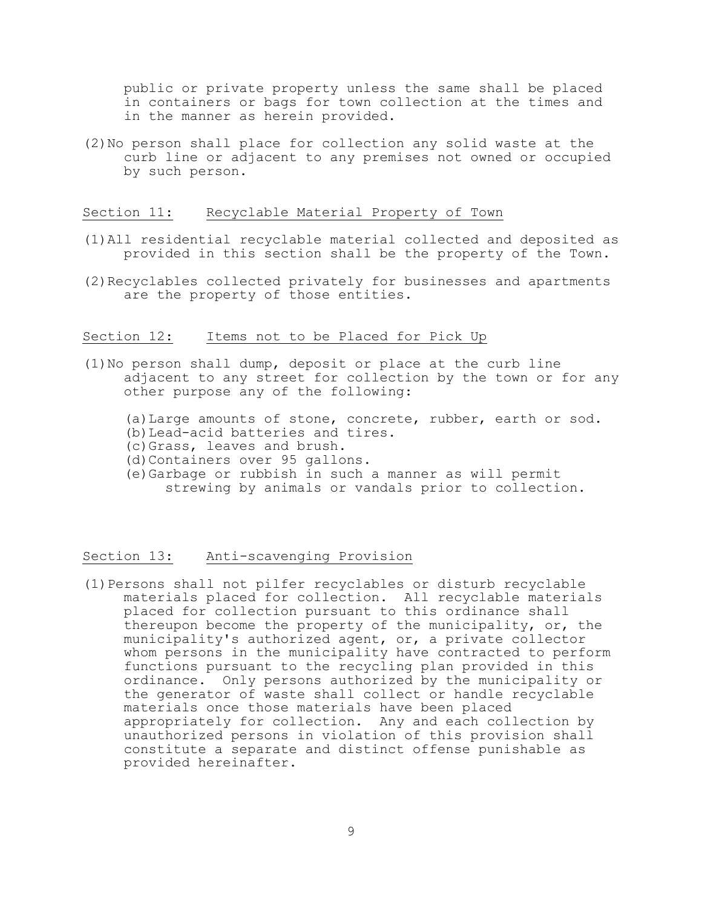public or private property unless the same shall be placed in containers or bags for town collection at the times and in the manner as herein provided.

(2)No person shall place for collection any solid waste at the curb line or adjacent to any premises not owned or occupied by such person.

### Section 11: Recyclable Material Property of Town

- (1)All residential recyclable material collected and deposited as provided in this section shall be the property of the Town.
- (2)Recyclables collected privately for businesses and apartments are the property of those entities.

#### Section 12: Items not to be Placed for Pick Up

- (1)No person shall dump, deposit or place at the curb line adjacent to any street for collection by the town or for any other purpose any of the following:
	- (a)Large amounts of stone, concrete, rubber, earth or sod.
	- (b)Lead-acid batteries and tires.
	- (c)Grass, leaves and brush.
	- (d)Containers over 95 gallons.
	- (e)Garbage or rubbish in such a manner as will permit strewing by animals or vandals prior to collection.

## Section 13: Anti-scavenging Provision

(1)Persons shall not pilfer recyclables or disturb recyclable materials placed for collection. All recyclable materials placed for collection pursuant to this ordinance shall thereupon become the property of the municipality, or, the municipality's authorized agent, or, a private collector whom persons in the municipality have contracted to perform functions pursuant to the recycling plan provided in this ordinance. Only persons authorized by the municipality or the generator of waste shall collect or handle recyclable materials once those materials have been placed appropriately for collection. Any and each collection by unauthorized persons in violation of this provision shall constitute a separate and distinct offense punishable as provided hereinafter.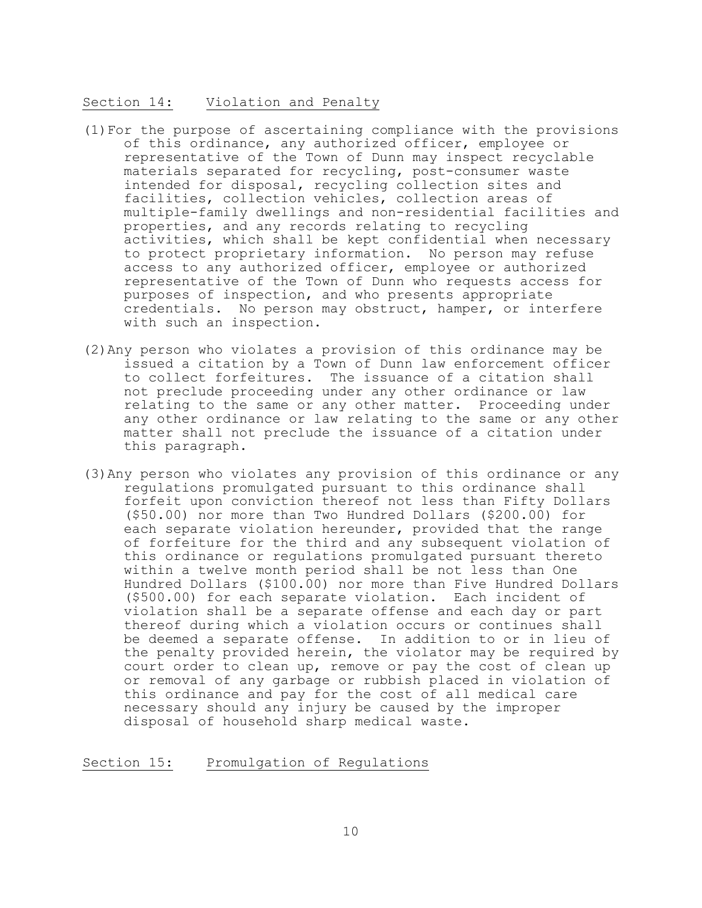### Section 14: Violation and Penalty

- (1)For the purpose of ascertaining compliance with the provisions of this ordinance, any authorized officer, employee or representative of the Town of Dunn may inspect recyclable materials separated for recycling, post-consumer waste intended for disposal, recycling collection sites and facilities, collection vehicles, collection areas of multiple-family dwellings and non-residential facilities and properties, and any records relating to recycling activities, which shall be kept confidential when necessary to protect proprietary information. No person may refuse access to any authorized officer, employee or authorized representative of the Town of Dunn who requests access for purposes of inspection, and who presents appropriate credentials. No person may obstruct, hamper, or interfere with such an inspection.
- (2)Any person who violates a provision of this ordinance may be issued a citation by a Town of Dunn law enforcement officer to collect forfeitures. The issuance of a citation shall not preclude proceeding under any other ordinance or law relating to the same or any other matter. Proceeding under any other ordinance or law relating to the same or any other matter shall not preclude the issuance of a citation under this paragraph.
- (3)Any person who violates any provision of this ordinance or any regulations promulgated pursuant to this ordinance shall forfeit upon conviction thereof not less than Fifty Dollars (\$50.00) nor more than Two Hundred Dollars (\$200.00) for each separate violation hereunder, provided that the range of forfeiture for the third and any subsequent violation of this ordinance or regulations promulgated pursuant thereto within a twelve month period shall be not less than One Hundred Dollars (\$100.00) nor more than Five Hundred Dollars (\$500.00) for each separate violation. Each incident of violation shall be a separate offense and each day or part thereof during which a violation occurs or continues shall be deemed a separate offense. In addition to or in lieu of the penalty provided herein, the violator may be required by court order to clean up, remove or pay the cost of clean up or removal of any garbage or rubbish placed in violation of this ordinance and pay for the cost of all medical care necessary should any injury be caused by the improper disposal of household sharp medical waste.

### Section 15: Promulgation of Regulations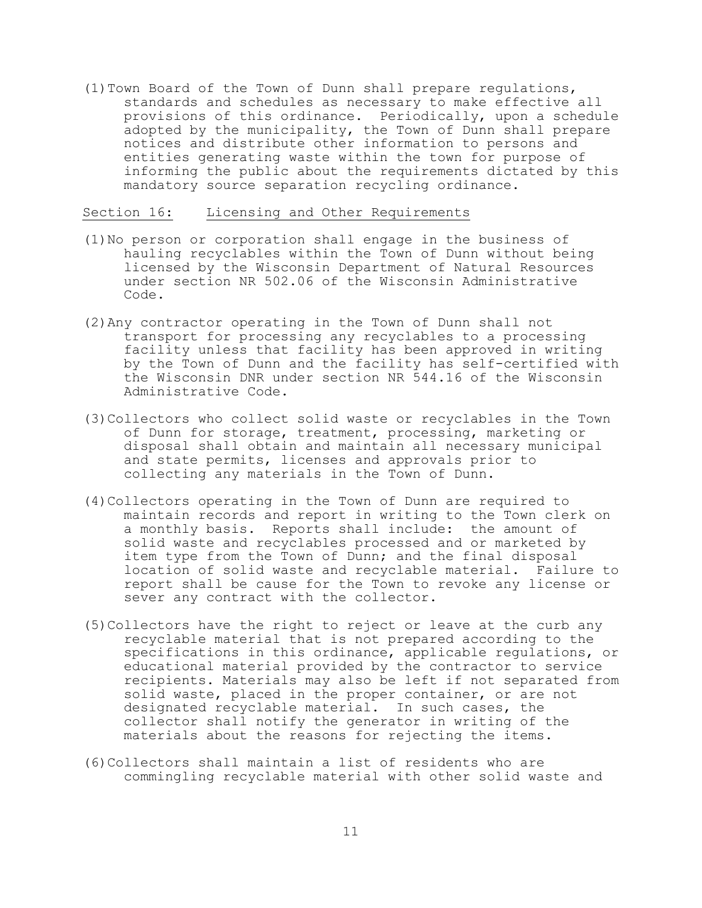(1)Town Board of the Town of Dunn shall prepare regulations, standards and schedules as necessary to make effective all provisions of this ordinance. Periodically, upon a schedule adopted by the municipality, the Town of Dunn shall prepare notices and distribute other information to persons and entities generating waste within the town for purpose of informing the public about the requirements dictated by this mandatory source separation recycling ordinance.

### Section 16: Licensing and Other Requirements

- (1)No person or corporation shall engage in the business of hauling recyclables within the Town of Dunn without being licensed by the Wisconsin Department of Natural Resources under section NR 502.06 of the Wisconsin Administrative Code.
- (2)Any contractor operating in the Town of Dunn shall not transport for processing any recyclables to a processing facility unless that facility has been approved in writing by the Town of Dunn and the facility has self-certified with the Wisconsin DNR under section NR 544.16 of the Wisconsin Administrative Code.
- (3)Collectors who collect solid waste or recyclables in the Town of Dunn for storage, treatment, processing, marketing or disposal shall obtain and maintain all necessary municipal and state permits, licenses and approvals prior to collecting any materials in the Town of Dunn.
- (4)Collectors operating in the Town of Dunn are required to maintain records and report in writing to the Town clerk on a monthly basis. Reports shall include: the amount of solid waste and recyclables processed and or marketed by item type from the Town of Dunn; and the final disposal location of solid waste and recyclable material. Failure to report shall be cause for the Town to revoke any license or sever any contract with the collector.
- (5)Collectors have the right to reject or leave at the curb any recyclable material that is not prepared according to the specifications in this ordinance, applicable regulations, or educational material provided by the contractor to service recipients. Materials may also be left if not separated from solid waste, placed in the proper container, or are not designated recyclable material. In such cases, the collector shall notify the generator in writing of the materials about the reasons for rejecting the items.
- (6)Collectors shall maintain a list of residents who are commingling recyclable material with other solid waste and